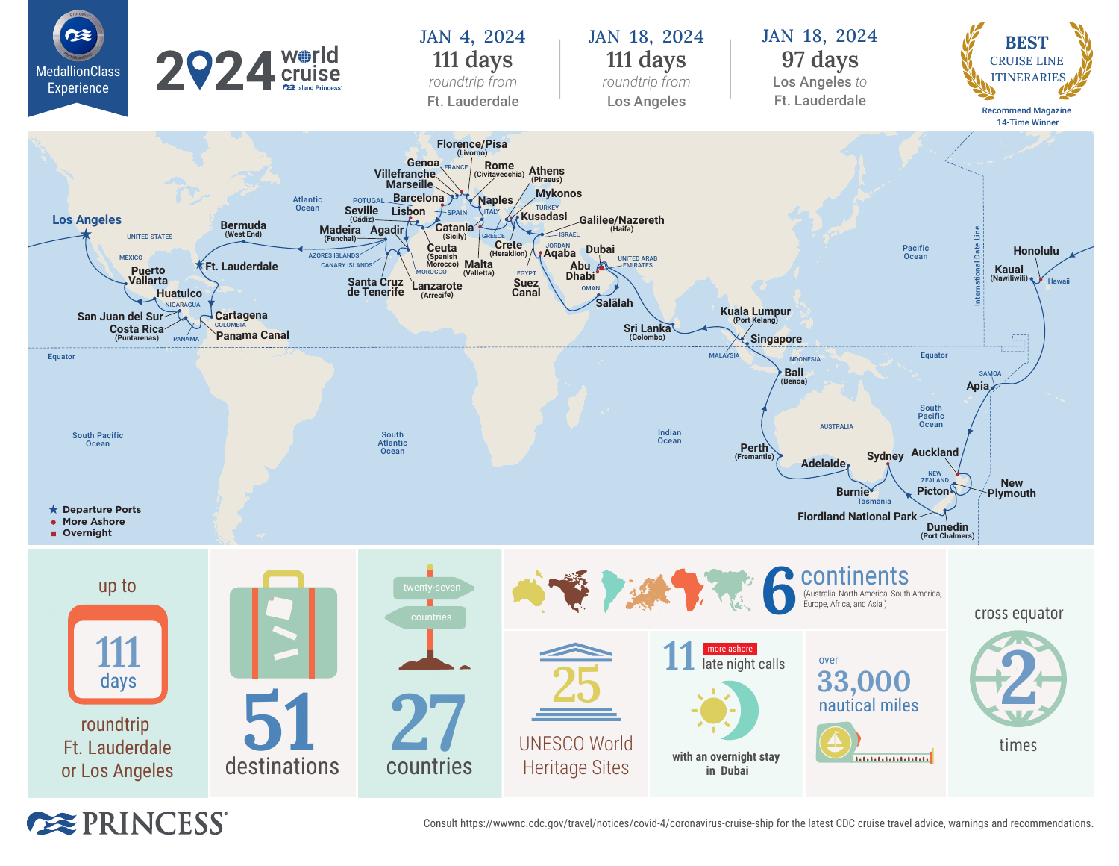

**EXPRINCESS**